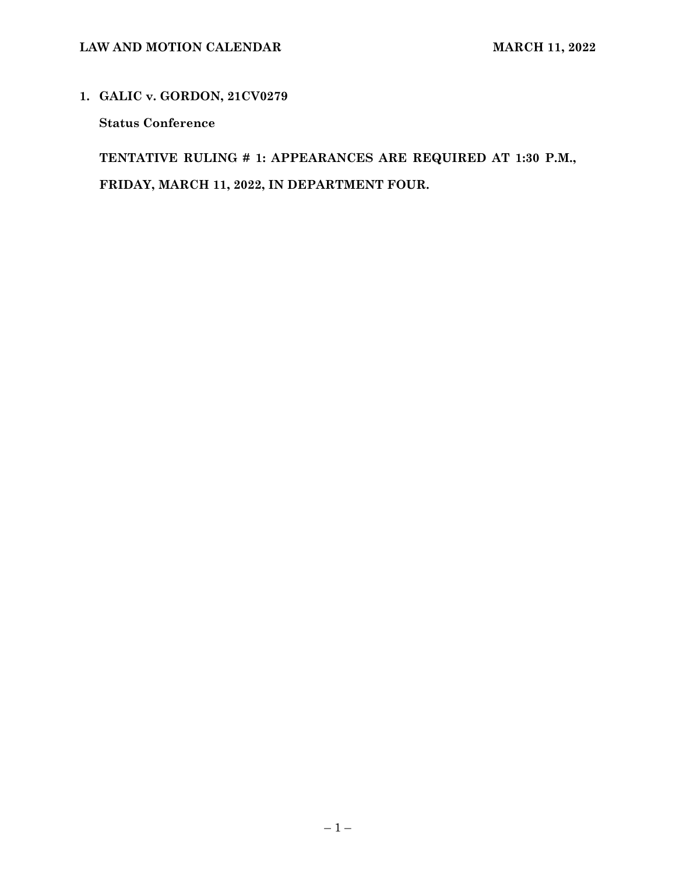## **1. GALIC v. GORDON, 21CV0279**

**Status Conference** 

**TENTATIVE RULING # 1: APPEARANCES ARE REQUIRED AT 1:30 P.M., FRIDAY, MARCH 11, 2022, IN DEPARTMENT FOUR.**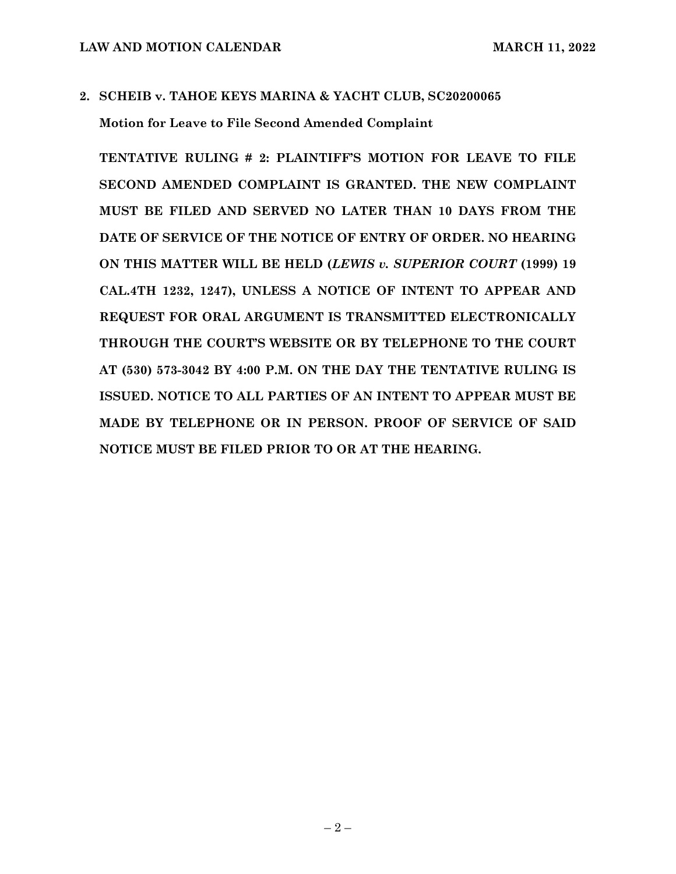# **2. SCHEIB v. TAHOE KEYS MARINA & YACHT CLUB, SC20200065 Motion for Leave to File Second Amended Complaint**

**TENTATIVE RULING # 2: PLAINTIFF'S MOTION FOR LEAVE TO FILE SECOND AMENDED COMPLAINT IS GRANTED. THE NEW COMPLAINT MUST BE FILED AND SERVED NO LATER THAN 10 DAYS FROM THE DATE OF SERVICE OF THE NOTICE OF ENTRY OF ORDER. NO HEARING ON THIS MATTER WILL BE HELD (***LEWIS v. SUPERIOR COURT* **(1999) 19 CAL.4TH 1232, 1247), UNLESS A NOTICE OF INTENT TO APPEAR AND REQUEST FOR ORAL ARGUMENT IS TRANSMITTED ELECTRONICALLY THROUGH THE COURT'S WEBSITE OR BY TELEPHONE TO THE COURT AT (530) 573-3042 BY 4:00 P.M. ON THE DAY THE TENTATIVE RULING IS ISSUED. NOTICE TO ALL PARTIES OF AN INTENT TO APPEAR MUST BE MADE BY TELEPHONE OR IN PERSON. PROOF OF SERVICE OF SAID NOTICE MUST BE FILED PRIOR TO OR AT THE HEARING.**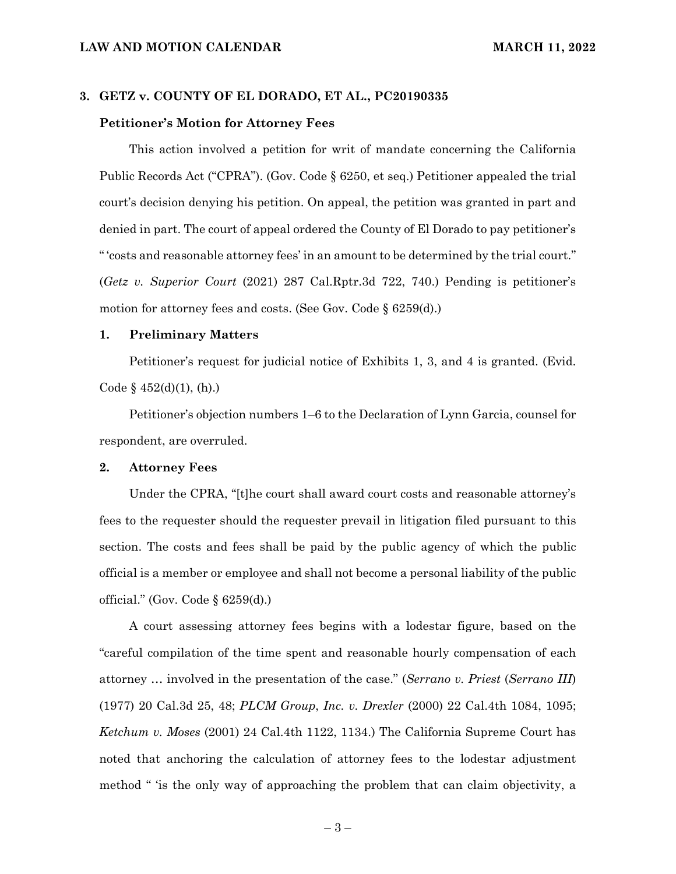#### **3. GETZ v. COUNTY OF EL DORADO, ET AL., PC20190335**

#### **Petitioner's Motion for Attorney Fees**

This action involved a petition for writ of mandate concerning the California Public Records Act ("CPRA"). (Gov. Code § 6250, et seq.) Petitioner appealed the trial court's decision denying his petition. On appeal, the petition was granted in part and denied in part. The court of appeal ordered the County of El Dorado to pay petitioner's " 'costs and reasonable attorney fees' in an amount to be determined by the trial court." (*Getz v. Superior Court* (2021) 287 Cal.Rptr.3d 722, 740.) Pending is petitioner's motion for attorney fees and costs. (See Gov. Code § 6259(d).)

#### **1. Preliminary Matters**

Petitioner's request for judicial notice of Exhibits 1, 3, and 4 is granted. (Evid. Code  $\S$  452(d)(1), (h).)

Petitioner's objection numbers 1–6 to the Declaration of Lynn Garcia, counsel for respondent, are overruled.

### **2. Attorney Fees**

Under the CPRA, "[t]he court shall award court costs and reasonable attorney's fees to the requester should the requester prevail in litigation filed pursuant to this section. The costs and fees shall be paid by the public agency of which the public official is a member or employee and shall not become a personal liability of the public official." (Gov. Code § 6259(d).)

A court assessing attorney fees begins with a lodestar figure, based on the "careful compilation of the time spent and reasonable hourly compensation of each attorney … involved in the presentation of the case." (*Serrano v. Priest* (*Serrano III*) (1977) 20 Cal.3d 25, 48; *PLCM Group*, *Inc. v. Drexler* (2000) 22 Cal.4th 1084, 1095; *Ketchum v. Moses* (2001) 24 Cal.4th 1122, 1134.) The California Supreme Court has noted that anchoring the calculation of attorney fees to the lodestar adjustment method " 'is the only way of approaching the problem that can claim objectivity, a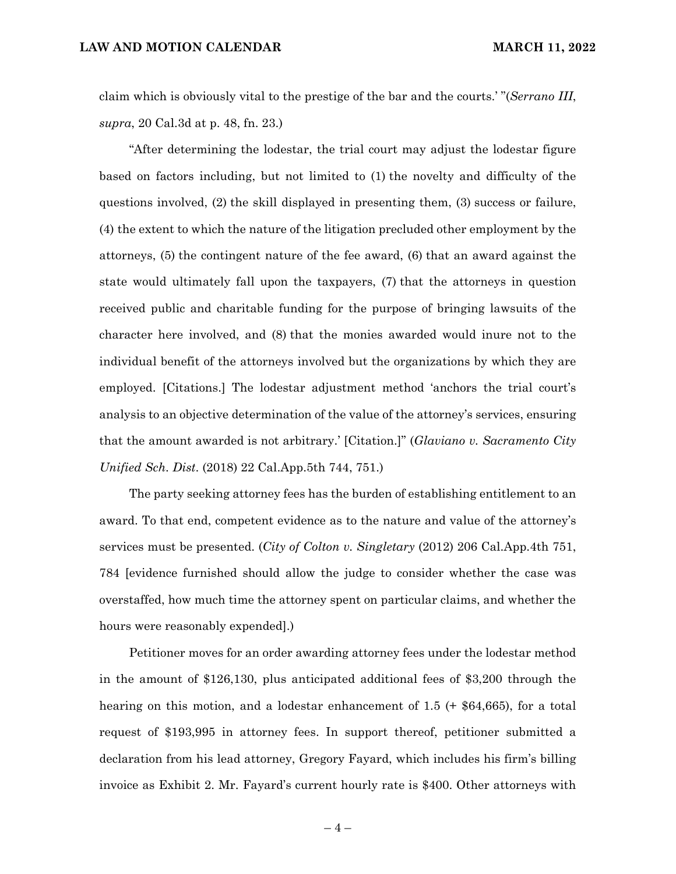claim which is obviously vital to the prestige of the bar and the courts.' "(*Serrano III*, *supra*, 20 Cal.3d at p. 48, fn. 23.)

"After determining the lodestar, the trial court may adjust the lodestar figure based on factors including, but not limited to (1) the novelty and difficulty of the questions involved, (2) the skill displayed in presenting them, (3) success or failure, (4) the extent to which the nature of the litigation precluded other employment by the attorneys, (5) the contingent nature of the fee award, (6) that an award against the state would ultimately fall upon the taxpayers, (7) that the attorneys in question received public and charitable funding for the purpose of bringing lawsuits of the character here involved, and (8) that the monies awarded would inure not to the individual benefit of the attorneys involved but the organizations by which they are employed. [Citations.] The lodestar adjustment method 'anchors the trial court's analysis to an objective determination of the value of the attorney's services, ensuring that the amount awarded is not arbitrary.' [Citation.]" (*Glaviano v. Sacramento City Unified Sch. Dist*. (2018) 22 Cal.App.5th 744, 751.)

The party seeking attorney fees has the burden of establishing entitlement to an award. To that end, competent evidence as to the nature and value of the attorney's services must be presented. (*City of Colton v. Singletary* (2012) 206 Cal.App.4th 751, 784 [evidence furnished should allow the judge to consider whether the case was overstaffed, how much time the attorney spent on particular claims, and whether the hours were reasonably expended].)

Petitioner moves for an order awarding attorney fees under the lodestar method in the amount of \$126,130, plus anticipated additional fees of \$3,200 through the hearing on this motion, and a lodestar enhancement of 1.5 (+ \$64,665), for a total request of \$193,995 in attorney fees. In support thereof, petitioner submitted a declaration from his lead attorney, Gregory Fayard, which includes his firm's billing invoice as Exhibit 2. Mr. Fayard's current hourly rate is \$400. Other attorneys with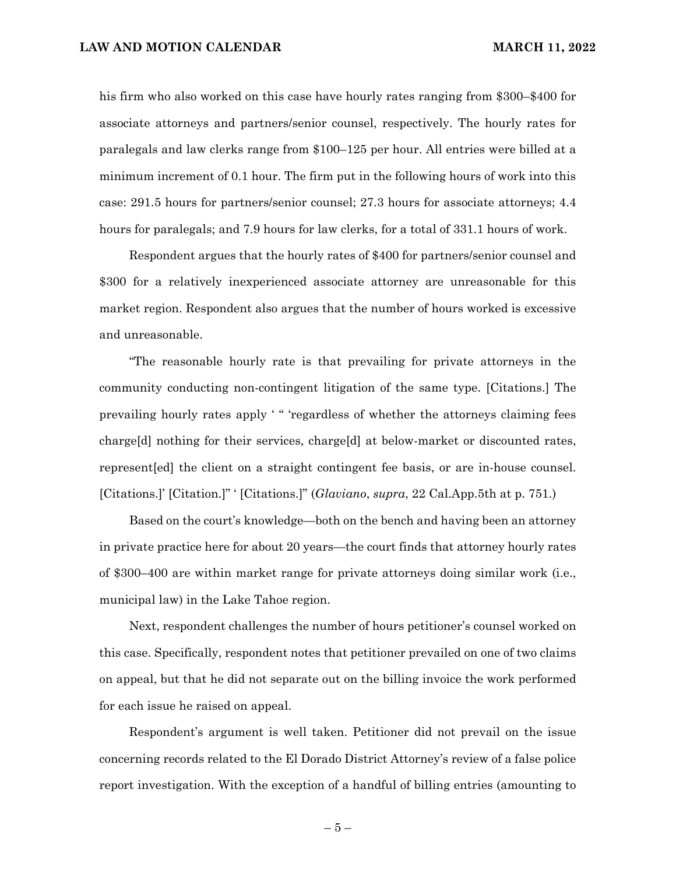his firm who also worked on this case have hourly rates ranging from \$300–\$400 for associate attorneys and partners/senior counsel, respectively. The hourly rates for paralegals and law clerks range from \$100–125 per hour. All entries were billed at a minimum increment of 0.1 hour. The firm put in the following hours of work into this case: 291.5 hours for partners/senior counsel; 27.3 hours for associate attorneys; 4.4 hours for paralegals; and 7.9 hours for law clerks, for a total of 331.1 hours of work.

Respondent argues that the hourly rates of \$400 for partners/senior counsel and \$300 for a relatively inexperienced associate attorney are unreasonable for this market region. Respondent also argues that the number of hours worked is excessive and unreasonable.

"The reasonable hourly rate is that prevailing for private attorneys in the community conducting non-contingent litigation of the same type. [Citations.] The prevailing hourly rates apply ' " 'regardless of whether the attorneys claiming fees charge[d] nothing for their services, charge[d] at below-market or discounted rates, represent[ed] the client on a straight contingent fee basis, or are in-house counsel. [Citations.]' [Citation.]" ' [Citations.]" (*Glaviano*, *supra*, 22 Cal.App.5th at p. 751.)

Based on the court's knowledge—both on the bench and having been an attorney in private practice here for about 20 years—the court finds that attorney hourly rates of \$300–400 are within market range for private attorneys doing similar work (i.e., municipal law) in the Lake Tahoe region.

Next, respondent challenges the number of hours petitioner's counsel worked on this case. Specifically, respondent notes that petitioner prevailed on one of two claims on appeal, but that he did not separate out on the billing invoice the work performed for each issue he raised on appeal.

Respondent's argument is well taken. Petitioner did not prevail on the issue concerning records related to the El Dorado District Attorney's review of a false police report investigation. With the exception of a handful of billing entries (amounting to

 $-5-$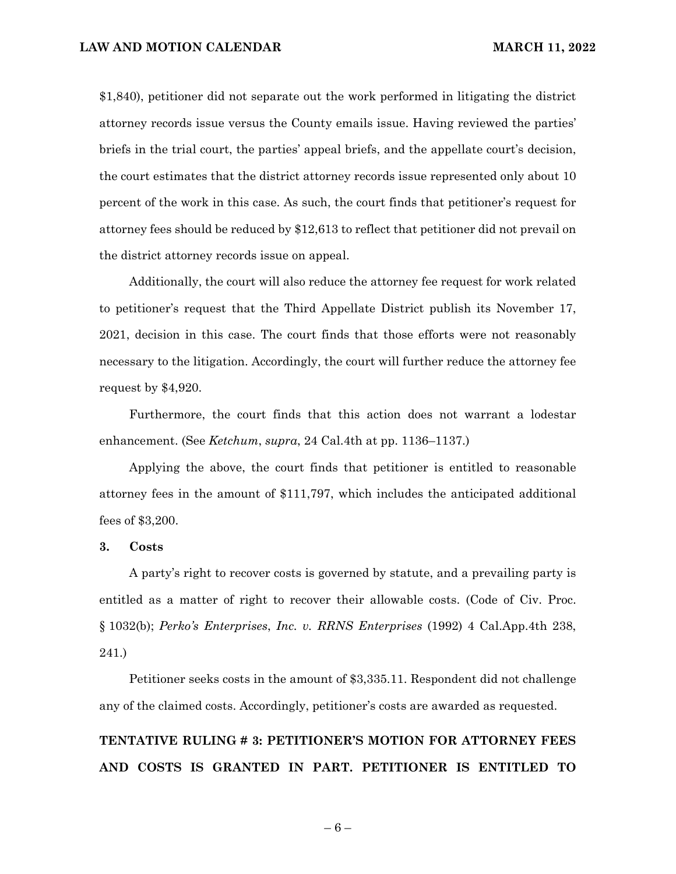\$1,840), petitioner did not separate out the work performed in litigating the district attorney records issue versus the County emails issue. Having reviewed the parties' briefs in the trial court, the parties' appeal briefs, and the appellate court's decision, the court estimates that the district attorney records issue represented only about 10 percent of the work in this case. As such, the court finds that petitioner's request for attorney fees should be reduced by \$12,613 to reflect that petitioner did not prevail on the district attorney records issue on appeal.

Additionally, the court will also reduce the attorney fee request for work related to petitioner's request that the Third Appellate District publish its November 17, 2021, decision in this case. The court finds that those efforts were not reasonably necessary to the litigation. Accordingly, the court will further reduce the attorney fee request by \$4,920.

Furthermore, the court finds that this action does not warrant a lodestar enhancement. (See *Ketchum*, *supra*, 24 Cal.4th at pp. 1136–1137.)

Applying the above, the court finds that petitioner is entitled to reasonable attorney fees in the amount of \$111,797, which includes the anticipated additional fees of \$3,200.

### **3. Costs**

A party's right to recover costs is governed by statute, and a prevailing party is entitled as a matter of right to recover their allowable costs. (Code of Civ. Proc. § 1032(b); *Perko's Enterprises*, *Inc. v. RRNS Enterprises* (1992) 4 Cal.App.4th 238, 241.)

Petitioner seeks costs in the amount of \$3,335.11. Respondent did not challenge any of the claimed costs. Accordingly, petitioner's costs are awarded as requested.

# **TENTATIVE RULING # 3: PETITIONER'S MOTION FOR ATTORNEY FEES AND COSTS IS GRANTED IN PART. PETITIONER IS ENTITLED TO**

 $-6-$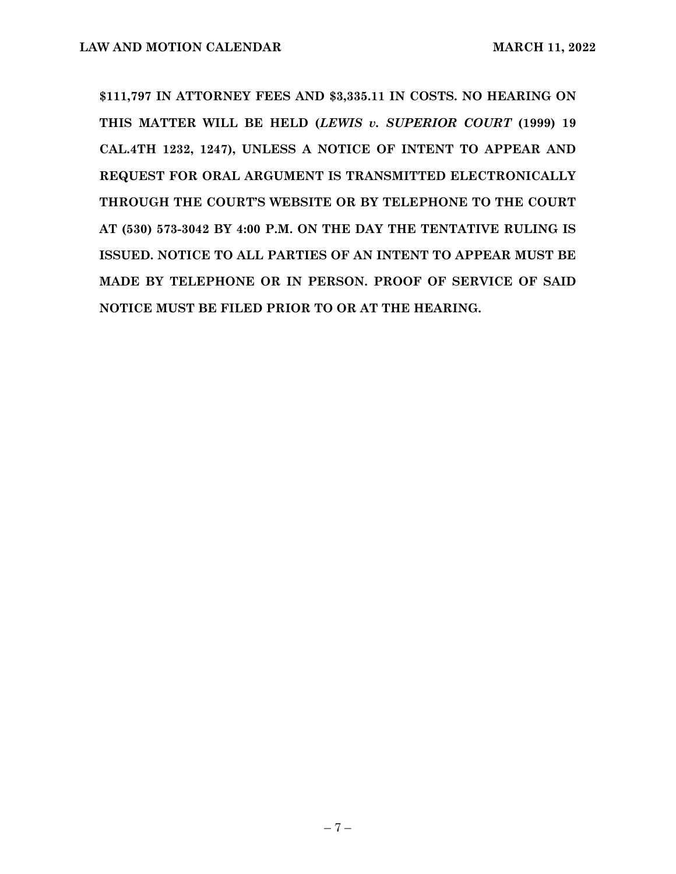**\$111,797 IN ATTORNEY FEES AND \$3,335.11 IN COSTS. NO HEARING ON THIS MATTER WILL BE HELD (***LEWIS v. SUPERIOR COURT* **(1999) 19 CAL.4TH 1232, 1247), UNLESS A NOTICE OF INTENT TO APPEAR AND REQUEST FOR ORAL ARGUMENT IS TRANSMITTED ELECTRONICALLY THROUGH THE COURT'S WEBSITE OR BY TELEPHONE TO THE COURT AT (530) 573-3042 BY 4:00 P.M. ON THE DAY THE TENTATIVE RULING IS ISSUED. NOTICE TO ALL PARTIES OF AN INTENT TO APPEAR MUST BE MADE BY TELEPHONE OR IN PERSON. PROOF OF SERVICE OF SAID NOTICE MUST BE FILED PRIOR TO OR AT THE HEARING.**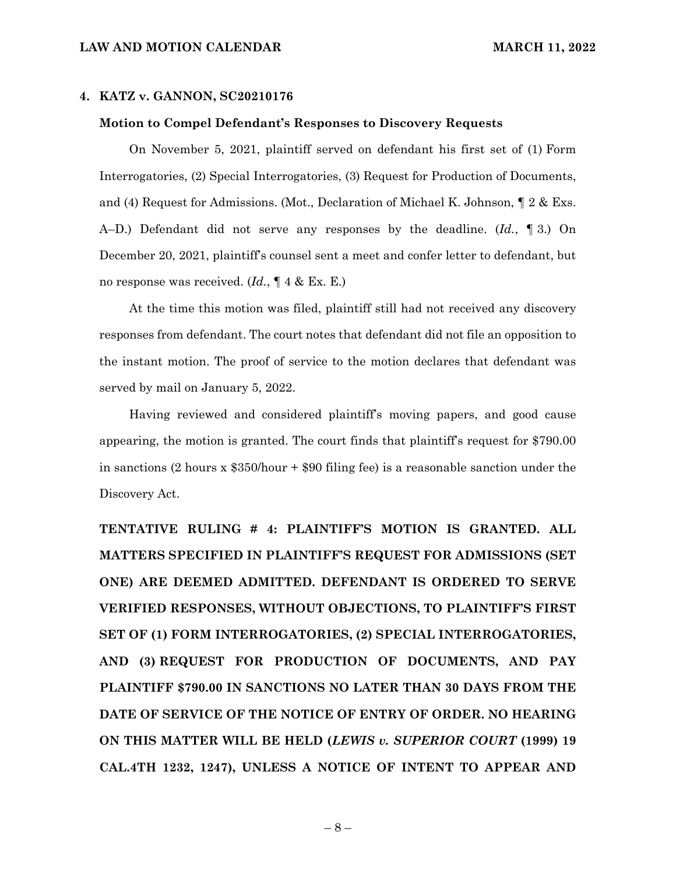### **4. KATZ v. GANNON, SC20210176**

### **Motion to Compel Defendant's Responses to Discovery Requests**

On November 5, 2021, plaintiff served on defendant his first set of (1) Form Interrogatories, (2) Special Interrogatories, (3) Request for Production of Documents, and (4) Request for Admissions. (Mot., Declaration of Michael K. Johnson, ¶ 2 & Exs. A–D.) Defendant did not serve any responses by the deadline. (*Id.*, ¶ 3.) On December 20, 2021, plaintiff's counsel sent a meet and confer letter to defendant, but no response was received. (*Id.*, ¶ 4 & Ex. E.)

At the time this motion was filed, plaintiff still had not received any discovery responses from defendant. The court notes that defendant did not file an opposition to the instant motion. The proof of service to the motion declares that defendant was served by mail on January 5, 2022.

Having reviewed and considered plaintiff's moving papers, and good cause appearing, the motion is granted. The court finds that plaintiff's request for \$790.00 in sanctions (2 hours x \$350/hour + \$90 filing fee) is a reasonable sanction under the Discovery Act.

**TENTATIVE RULING # 4: PLAINTIFF'S MOTION IS GRANTED. ALL MATTERS SPECIFIED IN PLAINTIFF'S REQUEST FOR ADMISSIONS (SET ONE) ARE DEEMED ADMITTED. DEFENDANT IS ORDERED TO SERVE VERIFIED RESPONSES, WITHOUT OBJECTIONS, TO PLAINTIFF'S FIRST SET OF (1) FORM INTERROGATORIES, (2) SPECIAL INTERROGATORIES, AND (3) REQUEST FOR PRODUCTION OF DOCUMENTS, AND PAY PLAINTIFF \$790.00 IN SANCTIONS NO LATER THAN 30 DAYS FROM THE DATE OF SERVICE OF THE NOTICE OF ENTRY OF ORDER. NO HEARING ON THIS MATTER WILL BE HELD (***LEWIS v. SUPERIOR COURT* **(1999) 19 CAL.4TH 1232, 1247), UNLESS A NOTICE OF INTENT TO APPEAR AND**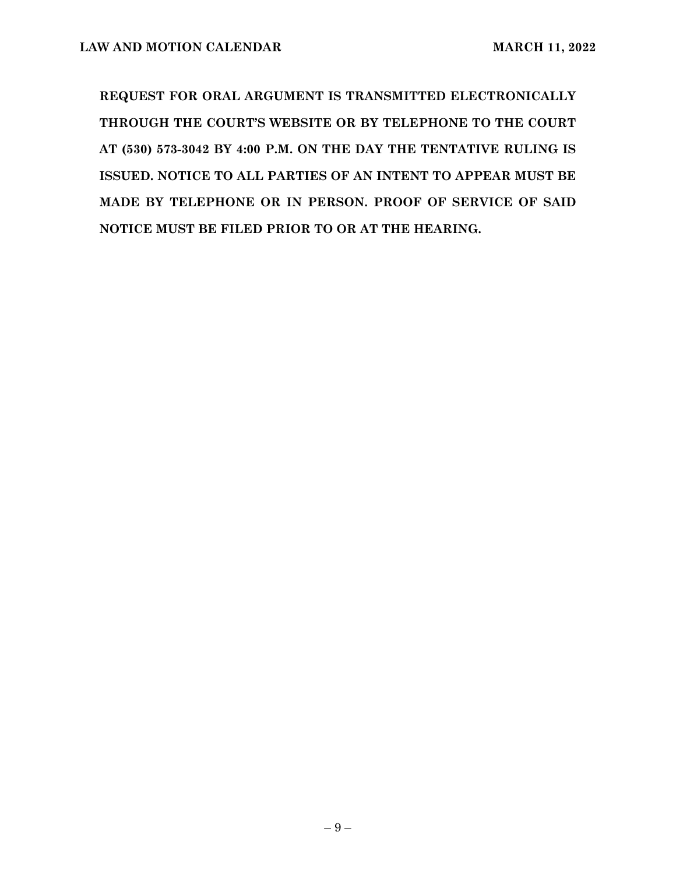**REQUEST FOR ORAL ARGUMENT IS TRANSMITTED ELECTRONICALLY THROUGH THE COURT'S WEBSITE OR BY TELEPHONE TO THE COURT AT (530) 573-3042 BY 4:00 P.M. ON THE DAY THE TENTATIVE RULING IS ISSUED. NOTICE TO ALL PARTIES OF AN INTENT TO APPEAR MUST BE MADE BY TELEPHONE OR IN PERSON. PROOF OF SERVICE OF SAID NOTICE MUST BE FILED PRIOR TO OR AT THE HEARING.**